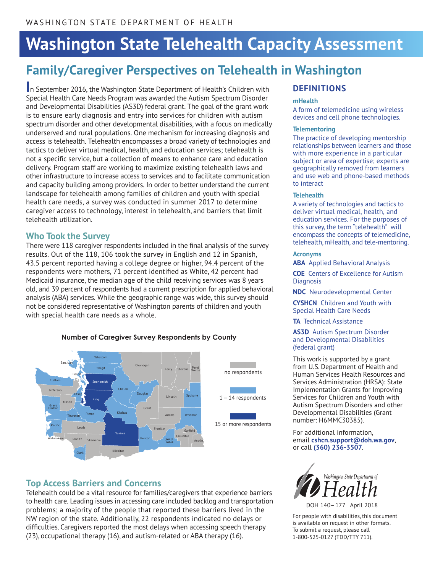# **Washington State Telehealth Capacity Assessment**

# **Family/Caregiver Perspectives on Telehealth in Washington**

**I**n September 2016, the Washington State Department of Health's Children with Special Health Care Needs Program was awarded the Autism Spectrum Disorder and Developmental Disabilities (AS3D) federal grant. The goal of the grant work is to ensure early diagnosis and entry into services for children with autism spectrum disorder and other developmental disabilities, with a focus on medically underserved and rural populations. One mechanism for increasing diagnosis and access is telehealth. Telehealth encompasses a broad variety of technologies and tactics to deliver virtual medical, health, and education services; telehealth is not a specific service, but a collection of means to enhance care and education delivery. Program staff are working to maximize existing telehealth laws and other infrastructure to increase access to services and to facilitate communication and capacity building among providers. In order to better understand the current landscape for telehealth among families of children and youth with special health care needs, a survey was conducted in summer 2017 to determine caregiver access to technology, interest in telehealth, and barriers that limit telehealth utilization.

# **Who Took the Survey**

There were 118 caregiver respondents included in the final analysis of the survey results. Out of the 118, 106 took the survey in English and 12 in Spanish, 43.5 percent reported having a college degree or higher, 94.4 percent of the respondents were mothers, 71 percent identified as White, 42 percent had Medicaid insurance, the median age of the child receiving services was 8 years old, and 39 percent of respondents had a current prescription for applied behavioral analysis (ABA) services. While the geographic range was wide, this survey should not be considered representative of Washington parents of children and youth with special health care needs as a whole.

#### **Number of Caregiver Survey Respondents by County**



# **Top Access Barriers and Concerns**

Telehealth could be a vital resource for families/caregivers that experience barriers to health care. Leading issues in accessing care included backlog and transportation problems; a majority of the people that reported these barriers lived in the NW region of the state. Additionally, 22 respondents indicated no delays or difficulties. Caregivers reported the most delays when accessing speech therapy (23), occupational therapy (16), and autism-related or ABA therapy (16).

# **DEFINITIONS**

#### **mHealth**

A form of telemedicine using wireless devices and cell phone technologies.

#### **Telementoring**

The practice of developing mentorship relationships between learners and those with more experience in a particular subject or area of expertise; experts are geographically removed from learners and use web and phone-based methods to interact

#### **Telehealth**

A variety of technologies and tactics to deliver virtual medical, health, and education services. For the purposes of this survey, the term "telehealth" will encompass the concepts of telemedicine, telehealth, mHealth, and tele-mentoring.

#### **Acronyms**

**ABA** Applied Behavioral Analysis

**COE** Centers of Excellence for Autism **Diagnosis** 

**NDC** Neurodevelopmental Center

**CYSHCN** Children and Youth with Special Health Care Needs

**TA** Technical Assistance

#### **AS3D** Autism Spectrum Disorder and Developmental Disabilities (federal grant)

This work is supported by a grant from U.S. Department of Health and Human Services Health Resources and Services Administration (HRSA): State Implementation Grants for Improving Services for Children and Youth with Autism Spectrum Disorders and other Developmental Disabilities (Grant number: H6MMC30385).

For additional information, email **cshcn.support@doh.wa.gov**, or call **(360) 236-3507**.



DOH 140– 177 April 2018

For people with disabilities, this document is available on request in other formats. To submit a request, please call 1-800-525-0127 (TDD/TTY 711).